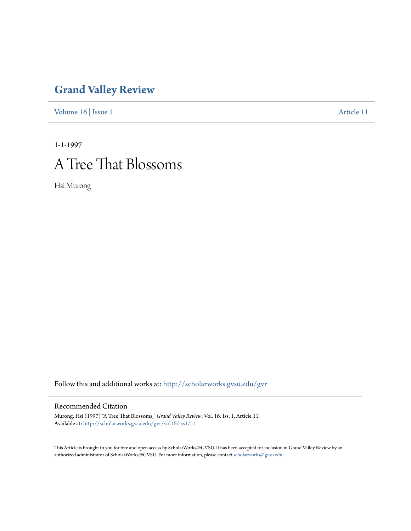# **[Grand Valley Review](http://scholarworks.gvsu.edu/gvr?utm_source=scholarworks.gvsu.edu%2Fgvr%2Fvol16%2Fiss1%2F11&utm_medium=PDF&utm_campaign=PDFCoverPages)**

[Volume 16](http://scholarworks.gvsu.edu/gvr/vol16?utm_source=scholarworks.gvsu.edu%2Fgvr%2Fvol16%2Fiss1%2F11&utm_medium=PDF&utm_campaign=PDFCoverPages) | [Issue 1](http://scholarworks.gvsu.edu/gvr/vol16/iss1?utm_source=scholarworks.gvsu.edu%2Fgvr%2Fvol16%2Fiss1%2F11&utm_medium=PDF&utm_campaign=PDFCoverPages) [Article 11](http://scholarworks.gvsu.edu/gvr/vol16/iss1/11?utm_source=scholarworks.gvsu.edu%2Fgvr%2Fvol16%2Fiss1%2F11&utm_medium=PDF&utm_campaign=PDFCoverPages)

1-1-1997

# A Tree That Blossoms

Hsi Murong

Follow this and additional works at: [http://scholarworks.gvsu.edu/gvr](http://scholarworks.gvsu.edu/gvr?utm_source=scholarworks.gvsu.edu%2Fgvr%2Fvol16%2Fiss1%2F11&utm_medium=PDF&utm_campaign=PDFCoverPages)

#### Recommended Citation

Murong, Hsi (1997) "A Tree That Blossoms," *Grand Valley Review*: Vol. 16: Iss. 1, Article 11. Available at: [http://scholarworks.gvsu.edu/gvr/vol16/iss1/11](http://scholarworks.gvsu.edu/gvr/vol16/iss1/11?utm_source=scholarworks.gvsu.edu%2Fgvr%2Fvol16%2Fiss1%2F11&utm_medium=PDF&utm_campaign=PDFCoverPages)

This Article is brought to you for free and open access by ScholarWorks@GVSU. It has been accepted for inclusion in Grand Valley Review by an authorized administrator of ScholarWorks@GVSU. For more information, please contact [scholarworks@gvsu.edu.](mailto:scholarworks@gvsu.edu)